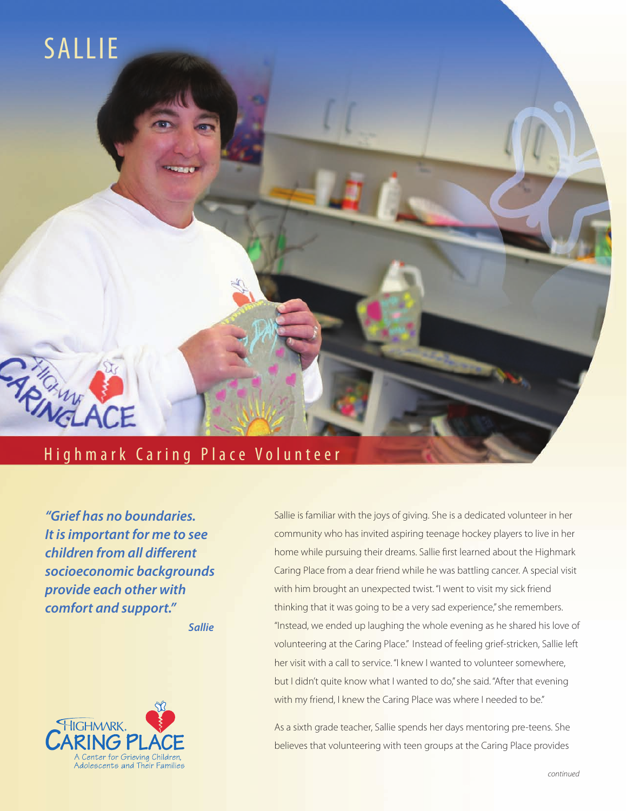

*"Grief has no boundaries. It is important for me to see children from all different socioeconomic backgrounds provide each other with comfort and support."*

*Sallie*



Sallie is familiar with the joys of giving. She is a dedicated volunteer in her community who has invited aspiring teenage hockey players to live in her home while pursuing their dreams. Sallie first learned about the Highmark Caring Place from a dear friend while he was battling cancer. A special visit with him brought an unexpected twist. "I went to visit my sick friend thinking that it was going to be a very sad experience," she remembers. "Instead, we ended up laughing the whole evening as he shared his love of volunteering at the Caring Place." Instead of feeling grief-stricken, Sallie left her visit with a call to service. "I knew I wanted to volunteer somewhere, but I didn't quite know what I wanted to do," she said. "After that evening with my friend, I knew the Caring Place was where I needed to be."

As a sixth grade teacher, Sallie spends her days mentoring pre-teens. She believes that volunteering with teen groups at the Caring Place provides